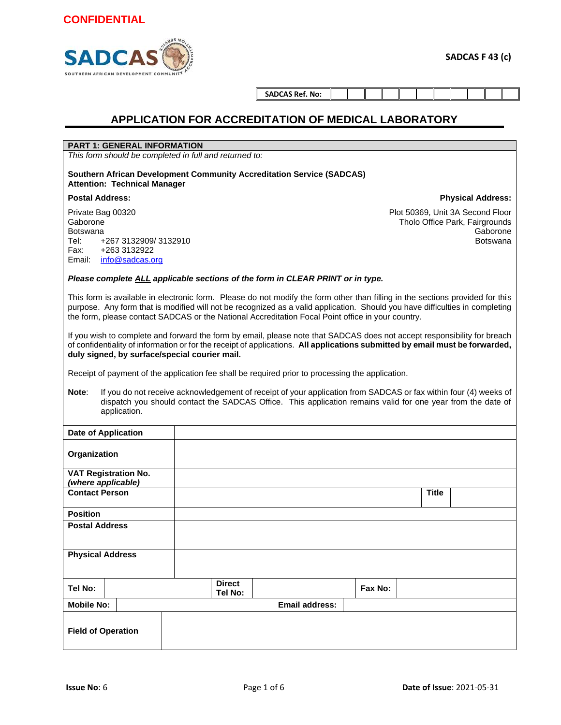

**Physical Address:**

**SADCAS Ref. No:**

#### **APPLICATION FOR ACCREDITATION OF MEDICAL LABORATORY**

#### **PART 1: GENERAL INFORMATION**

*This form should be completed in full and returned to:*

**Southern African Development Community Accreditation Service (SADCAS) Attention: Technical Manager**

#### **Postal Address:**

Private Bag 00320 Gaborone Botswana Tel: +267 3132909/ 3132910 Fax: +263 3132922 Email: info@sadcas.org

Plot 50369, Unit 3A Second Floor Tholo Office Park, Fairgrounds Gaborone Botswana

#### *Please complete ALL applicable sections of the form in CLEAR PRINT or in type.*

This form is available in electronic form. Please do not modify the form other than filling in the sections provided for this purpose. Any form that is modified will not be recognized as a valid application. Should you have difficulties in completing the form, please contact SADCAS or the National Accreditation Focal Point office in your country.

If you wish to complete and forward the form by email, please note that SADCAS does not accept responsibility for breach of confidentiality of information or for the receipt of applications. **All applications submitted by email must be forwarded, duly signed, by surface/special courier mail.**

Receipt of payment of the application fee shall be required prior to processing the application.

**Note**: If you do not receive acknowledgement of receipt of your application from SADCAS or fax within four (4) weeks of dispatch you should contact the SADCAS Office. This application remains valid for one year from the date of application.

| <b>Date of Application</b>                        |                          |                       |         |              |
|---------------------------------------------------|--------------------------|-----------------------|---------|--------------|
| Organization                                      |                          |                       |         |              |
| <b>VAT Registration No.</b><br>(where applicable) |                          |                       |         |              |
| <b>Contact Person</b>                             |                          |                       |         | <b>Title</b> |
| <b>Position</b>                                   |                          |                       |         |              |
| <b>Postal Address</b>                             |                          |                       |         |              |
| <b>Physical Address</b>                           |                          |                       |         |              |
| Tel No:                                           | <b>Direct</b><br>Tel No: |                       | Fax No: |              |
| <b>Mobile No:</b>                                 |                          | <b>Email address:</b> |         |              |
| <b>Field of Operation</b>                         |                          |                       |         |              |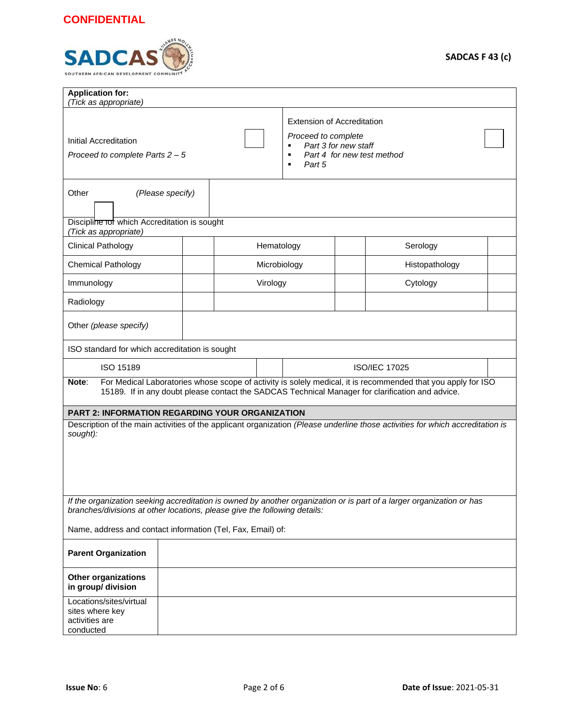

| <b>Application for:</b>                                                                                                                                                                                                   |                                                                           |                          |                                                                                                                       |  |  |  |
|---------------------------------------------------------------------------------------------------------------------------------------------------------------------------------------------------------------------------|---------------------------------------------------------------------------|--------------------------|-----------------------------------------------------------------------------------------------------------------------|--|--|--|
| (Tick as appropriate)<br>Initial Accreditation                                                                                                                                                                            |                                                                           | ٠                        | <b>Extension of Accreditation</b><br>Proceed to complete<br>Part 3 for new staff                                      |  |  |  |
| Proceed to complete Parts 2 - 5                                                                                                                                                                                           |                                                                           | Part 5<br>$\blacksquare$ | Part 4 for new test method                                                                                            |  |  |  |
| Other                                                                                                                                                                                                                     | (Please specify)                                                          |                          |                                                                                                                       |  |  |  |
| Discipline for which Accreditation is sought<br>(Tick as appropriate)                                                                                                                                                     |                                                                           |                          |                                                                                                                       |  |  |  |
| <b>Clinical Pathology</b>                                                                                                                                                                                                 |                                                                           | Hematology               | Serology                                                                                                              |  |  |  |
| <b>Chemical Pathology</b>                                                                                                                                                                                                 |                                                                           | Microbiology             | Histopathology                                                                                                        |  |  |  |
| Immunology                                                                                                                                                                                                                |                                                                           | Virology                 | Cytology                                                                                                              |  |  |  |
| Radiology                                                                                                                                                                                                                 |                                                                           |                          |                                                                                                                       |  |  |  |
| Other (please specify)                                                                                                                                                                                                    |                                                                           |                          |                                                                                                                       |  |  |  |
| ISO standard for which accreditation is sought                                                                                                                                                                            |                                                                           |                          |                                                                                                                       |  |  |  |
| ISO 15189                                                                                                                                                                                                                 |                                                                           |                          | <b>ISO/IEC 17025</b>                                                                                                  |  |  |  |
| For Medical Laboratories whose scope of activity is solely medical, it is recommended that you apply for ISO<br>Note:<br>15189. If in any doubt please contact the SADCAS Technical Manager for clarification and advice. |                                                                           |                          |                                                                                                                       |  |  |  |
|                                                                                                                                                                                                                           | <b>PART 2: INFORMATION REGARDING YOUR ORGANIZATION</b>                    |                          |                                                                                                                       |  |  |  |
| Description of the main activities of the applicant organization (Please underline those activities for which accreditation is<br>sought):                                                                                |                                                                           |                          |                                                                                                                       |  |  |  |
|                                                                                                                                                                                                                           | branches/divisions at other locations, please give the following details: |                          | If the organization seeking accreditation is owned by another organization or is part of a larger organization or has |  |  |  |
|                                                                                                                                                                                                                           | Name, address and contact information (Tel, Fax, Email) of:               |                          |                                                                                                                       |  |  |  |
| <b>Parent Organization</b>                                                                                                                                                                                                |                                                                           |                          |                                                                                                                       |  |  |  |
| <b>Other organizations</b><br>in group/ division                                                                                                                                                                          |                                                                           |                          |                                                                                                                       |  |  |  |
| Locations/sites/virtual<br>sites where key<br>activities are<br>conducted                                                                                                                                                 |                                                                           |                          |                                                                                                                       |  |  |  |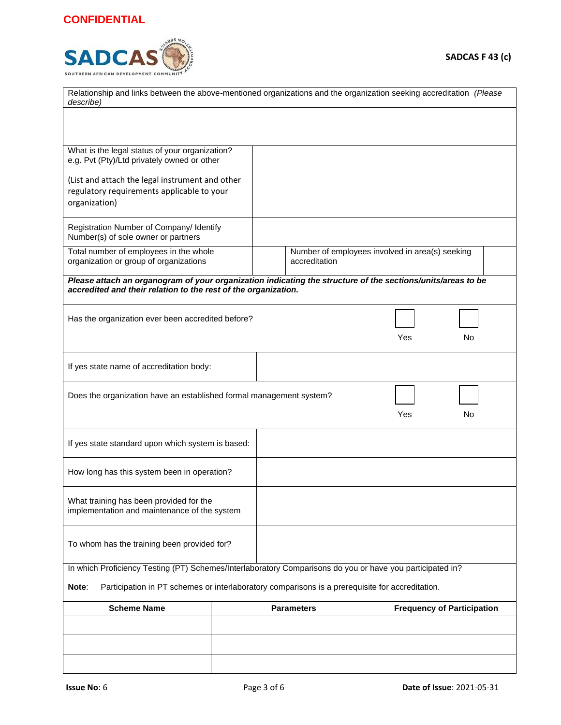

| Relationship and links between the above-mentioned organizations and the organization seeking accreditation (Please<br>describe)                                              |           |                   |                                                 |  |  |  |
|-------------------------------------------------------------------------------------------------------------------------------------------------------------------------------|-----------|-------------------|-------------------------------------------------|--|--|--|
|                                                                                                                                                                               |           |                   |                                                 |  |  |  |
|                                                                                                                                                                               |           |                   |                                                 |  |  |  |
| What is the legal status of your organization?<br>e.g. Pvt (Pty)/Ltd privately owned or other                                                                                 |           |                   |                                                 |  |  |  |
| (List and attach the legal instrument and other                                                                                                                               |           |                   |                                                 |  |  |  |
| regulatory requirements applicable to your<br>organization)                                                                                                                   |           |                   |                                                 |  |  |  |
| Registration Number of Company/ Identify<br>Number(s) of sole owner or partners                                                                                               |           |                   |                                                 |  |  |  |
| Total number of employees in the whole<br>organization or group of organizations                                                                                              |           | accreditation     | Number of employees involved in area(s) seeking |  |  |  |
| Please attach an organogram of your organization indicating the structure of the sections/units/areas to be<br>accredited and their relation to the rest of the organization. |           |                   |                                                 |  |  |  |
| Has the organization ever been accredited before?                                                                                                                             |           |                   |                                                 |  |  |  |
|                                                                                                                                                                               |           |                   | Yes<br>No                                       |  |  |  |
| If yes state name of accreditation body:                                                                                                                                      |           |                   |                                                 |  |  |  |
| Does the organization have an established formal management system?                                                                                                           | Yes<br>No |                   |                                                 |  |  |  |
| If yes state standard upon which system is based:                                                                                                                             |           |                   |                                                 |  |  |  |
| How long has this system been in operation?                                                                                                                                   |           |                   |                                                 |  |  |  |
| What training has been provided for the<br>implementation and maintenance of the system                                                                                       |           |                   |                                                 |  |  |  |
| To whom has the training been provided for?                                                                                                                                   |           |                   |                                                 |  |  |  |
| In which Proficiency Testing (PT) Schemes/Interlaboratory Comparisons do you or have you participated in?                                                                     |           |                   |                                                 |  |  |  |
| Participation in PT schemes or interlaboratory comparisons is a prerequisite for accreditation.<br>Note:                                                                      |           |                   |                                                 |  |  |  |
| <b>Scheme Name</b>                                                                                                                                                            |           | <b>Parameters</b> | <b>Frequency of Participation</b>               |  |  |  |
|                                                                                                                                                                               |           |                   |                                                 |  |  |  |
|                                                                                                                                                                               |           |                   |                                                 |  |  |  |
|                                                                                                                                                                               |           |                   |                                                 |  |  |  |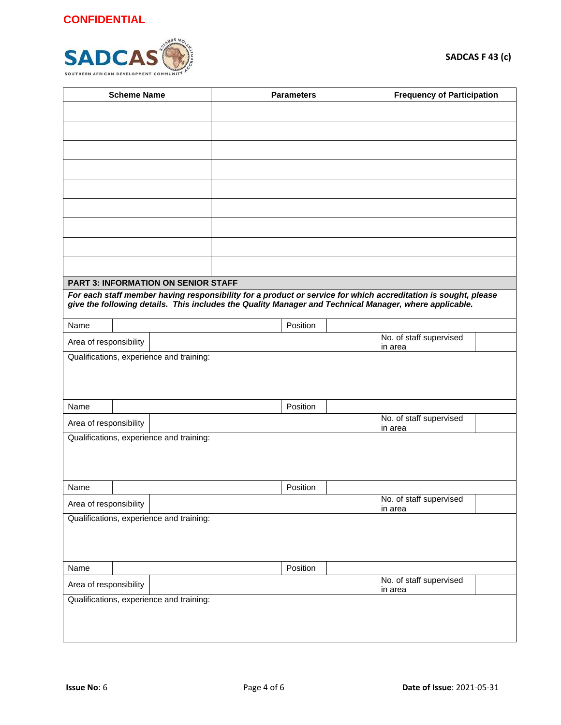

| <b>Scheme Name</b>                                  |  | <b>Parameters</b>                          |  |          | <b>Frequency of Participation</b> |                                                                                                                |  |
|-----------------------------------------------------|--|--------------------------------------------|--|----------|-----------------------------------|----------------------------------------------------------------------------------------------------------------|--|
|                                                     |  |                                            |  |          |                                   |                                                                                                                |  |
|                                                     |  |                                            |  |          |                                   |                                                                                                                |  |
|                                                     |  |                                            |  |          |                                   |                                                                                                                |  |
|                                                     |  |                                            |  |          |                                   |                                                                                                                |  |
|                                                     |  |                                            |  |          |                                   |                                                                                                                |  |
|                                                     |  |                                            |  |          |                                   |                                                                                                                |  |
|                                                     |  |                                            |  |          |                                   |                                                                                                                |  |
|                                                     |  |                                            |  |          |                                   |                                                                                                                |  |
|                                                     |  |                                            |  |          |                                   |                                                                                                                |  |
|                                                     |  |                                            |  |          |                                   |                                                                                                                |  |
|                                                     |  | <b>PART 3: INFORMATION ON SENIOR STAFF</b> |  |          |                                   |                                                                                                                |  |
|                                                     |  |                                            |  |          |                                   | For each staff member having responsibility for a product or service for which accreditation is sought, please |  |
|                                                     |  |                                            |  |          |                                   | give the following details. This includes the Quality Manager and Technical Manager, where applicable.         |  |
| Name                                                |  |                                            |  | Position |                                   |                                                                                                                |  |
| Area of responsibility                              |  |                                            |  |          |                                   | No. of staff supervised<br>in area                                                                             |  |
|                                                     |  | Qualifications, experience and training:   |  |          |                                   |                                                                                                                |  |
|                                                     |  |                                            |  |          |                                   |                                                                                                                |  |
|                                                     |  |                                            |  |          |                                   |                                                                                                                |  |
| Name                                                |  |                                            |  | Position |                                   |                                                                                                                |  |
| Area of responsibility                              |  |                                            |  |          |                                   | No. of staff supervised<br>in area                                                                             |  |
|                                                     |  | Qualifications, experience and training:   |  |          |                                   |                                                                                                                |  |
|                                                     |  |                                            |  |          |                                   |                                                                                                                |  |
|                                                     |  |                                            |  |          |                                   |                                                                                                                |  |
| Name                                                |  |                                            |  | Position |                                   |                                                                                                                |  |
| Area of responsibility                              |  |                                            |  |          |                                   | No. of staff supervised                                                                                        |  |
| in area<br>Qualifications, experience and training: |  |                                            |  |          |                                   |                                                                                                                |  |
|                                                     |  |                                            |  |          |                                   |                                                                                                                |  |
|                                                     |  |                                            |  |          |                                   |                                                                                                                |  |
| Name                                                |  |                                            |  | Position |                                   |                                                                                                                |  |
| Area of responsibility                              |  |                                            |  |          |                                   | No. of staff supervised<br>in area                                                                             |  |
|                                                     |  | Qualifications, experience and training:   |  |          |                                   |                                                                                                                |  |
|                                                     |  |                                            |  |          |                                   |                                                                                                                |  |
|                                                     |  |                                            |  |          |                                   |                                                                                                                |  |
|                                                     |  |                                            |  |          |                                   |                                                                                                                |  |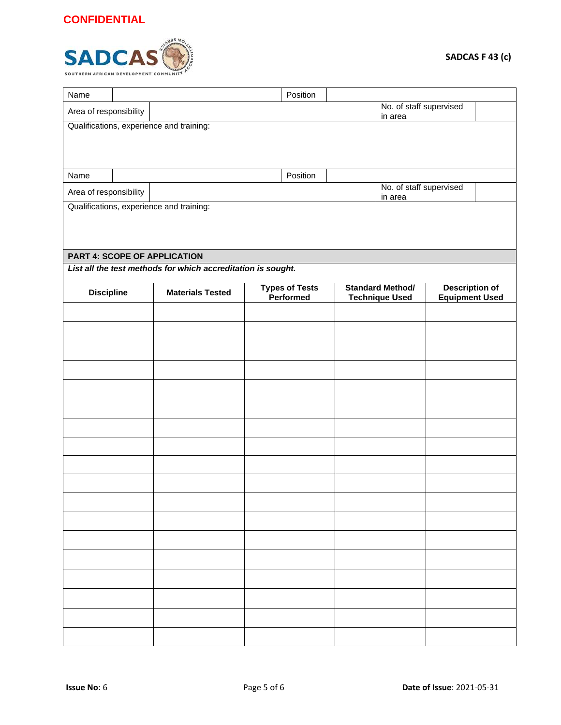

| Name                                              |                                                     |                                                              |  | Position                            |  |                         |                       |  |  |
|---------------------------------------------------|-----------------------------------------------------|--------------------------------------------------------------|--|-------------------------------------|--|-------------------------|-----------------------|--|--|
| Area of responsibility                            | No. of staff supervised<br>in area                  |                                                              |  |                                     |  |                         |                       |  |  |
| Qualifications, experience and training:          |                                                     |                                                              |  |                                     |  |                         |                       |  |  |
|                                                   |                                                     |                                                              |  |                                     |  |                         |                       |  |  |
|                                                   |                                                     |                                                              |  |                                     |  |                         |                       |  |  |
| Name                                              |                                                     |                                                              |  | Position                            |  |                         |                       |  |  |
| No. of staff supervised<br>Area of responsibility |                                                     |                                                              |  |                                     |  |                         |                       |  |  |
|                                                   | in area<br>Qualifications, experience and training: |                                                              |  |                                     |  |                         |                       |  |  |
|                                                   |                                                     |                                                              |  |                                     |  |                         |                       |  |  |
|                                                   |                                                     |                                                              |  |                                     |  |                         |                       |  |  |
| <b>PART 4: SCOPE OF APPLICATION</b>               |                                                     |                                                              |  |                                     |  |                         |                       |  |  |
|                                                   |                                                     | List all the test methods for which accreditation is sought. |  |                                     |  |                         |                       |  |  |
| <b>Discipline</b>                                 |                                                     | <b>Materials Tested</b>                                      |  | <b>Types of Tests<br/>Performed</b> |  | <b>Standard Method/</b> | <b>Description of</b> |  |  |
|                                                   |                                                     |                                                              |  |                                     |  | <b>Technique Used</b>   | <b>Equipment Used</b> |  |  |
|                                                   |                                                     |                                                              |  |                                     |  |                         |                       |  |  |
|                                                   |                                                     |                                                              |  |                                     |  |                         |                       |  |  |
|                                                   |                                                     |                                                              |  |                                     |  |                         |                       |  |  |
|                                                   |                                                     |                                                              |  |                                     |  |                         |                       |  |  |
|                                                   |                                                     |                                                              |  |                                     |  |                         |                       |  |  |
|                                                   |                                                     |                                                              |  |                                     |  |                         |                       |  |  |
|                                                   |                                                     |                                                              |  |                                     |  |                         |                       |  |  |
|                                                   |                                                     |                                                              |  |                                     |  |                         |                       |  |  |
|                                                   |                                                     |                                                              |  |                                     |  |                         |                       |  |  |
|                                                   |                                                     |                                                              |  |                                     |  |                         |                       |  |  |
|                                                   |                                                     |                                                              |  |                                     |  |                         |                       |  |  |
|                                                   |                                                     |                                                              |  |                                     |  |                         |                       |  |  |
|                                                   |                                                     |                                                              |  |                                     |  |                         |                       |  |  |
|                                                   |                                                     |                                                              |  |                                     |  |                         |                       |  |  |
|                                                   |                                                     |                                                              |  |                                     |  |                         |                       |  |  |
|                                                   |                                                     |                                                              |  |                                     |  |                         |                       |  |  |
|                                                   |                                                     |                                                              |  |                                     |  |                         |                       |  |  |
|                                                   |                                                     |                                                              |  |                                     |  |                         |                       |  |  |
|                                                   |                                                     |                                                              |  |                                     |  |                         |                       |  |  |
|                                                   |                                                     |                                                              |  |                                     |  |                         |                       |  |  |
|                                                   |                                                     |                                                              |  |                                     |  |                         |                       |  |  |